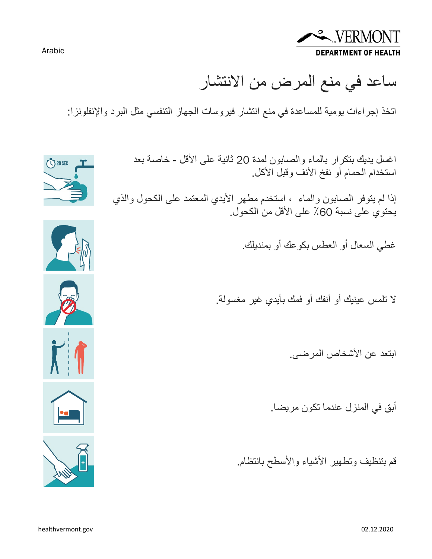

ساعد في منع المرض من الانتشار

اتخذ إجراءات یومیة للمساعدة في منع انتشار فیروسات الجھاز التنفسي مثل البرد والإنفلونزا:

اغسل یدیك بتكرار بالماء والصابون لمدة 20 ثانیة على الأقل - خاصة بعد استخدام الحمام أو نفخ الأنف وقبل الأكل.

إذا لم یتوفر الصابون والماء ، استخدم مطھر الأیدي المعتمد على الكحول والذي يحتوي على نسبة 60٪ على الأقل من الكحول.

غطي السعال أو العطس بكوعك أو بمندیلك.

لا تلمس عینیك أو أنفك أو فمك بأیدي غیر مغسولة.

ابتعد عن الأشخاص المرضى.

أبق في المنزل عندما تكون مریضا.

قم بتنظیف وتطھیر الأشیاء والأسطح بانتظام.